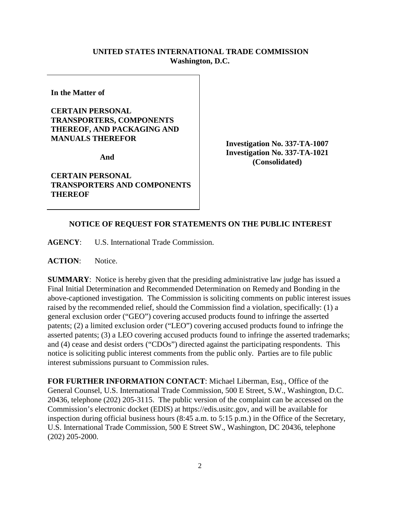## **UNITED STATES INTERNATIONAL TRADE COMMISSION Washington, D.C.**

**In the Matter of** 

## **CERTAIN PERSONAL TRANSPORTERS, COMPONENTS THEREOF, AND PACKAGING AND MANUALS THEREFOR**

**And** 

**CERTAIN PERSONAL TRANSPORTERS AND COMPONENTS THEREOF**

**Investigation No. 337-TA-1007 Investigation No. 337-TA-1021 (Consolidated)**

## **NOTICE OF REQUEST FOR STATEMENTS ON THE PUBLIC INTEREST**

**AGENCY**: U.S. International Trade Commission.

ACTION: Notice.

**SUMMARY**: Notice is hereby given that the presiding administrative law judge has issued a Final Initial Determination and Recommended Determination on Remedy and Bonding in the above-captioned investigation. The Commission is soliciting comments on public interest issues raised by the recommended relief, should the Commission find a violation, specifically: (1) a general exclusion order ("GEO") covering accused products found to infringe the asserted patents; (2) a limited exclusion order ("LEO") covering accused products found to infringe the asserted patents; (3) a LEO covering accused products found to infringe the asserted trademarks; and (4) cease and desist orders ("CDOs") directed against the participating respondents. This notice is soliciting public interest comments from the public only. Parties are to file public interest submissions pursuant to Commission rules.

**FOR FURTHER INFORMATION CONTACT**: Michael Liberman, Esq., Office of the General Counsel, U.S. International Trade Commission, 500 E Street, S.W., Washington, D.C. 20436, telephone (202) 205-3115. The public version of the complaint can be accessed on the Commission's electronic docket (EDIS) at https://edis.usitc.gov, and will be available for inspection during official business hours (8:45 a.m. to 5:15 p.m.) in the Office of the Secretary, U.S. International Trade Commission, 500 E Street SW., Washington, DC 20436, telephone (202) 205-2000.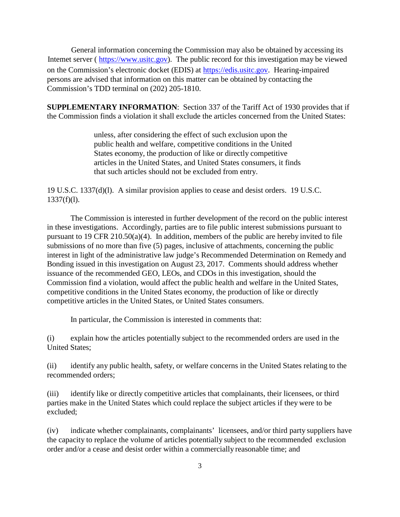General information concerning the Commission may also be obtained by accessing its Intemet server ( [https://www.usitc.gov\)](https://www.usitc.gov/). The public record for this investigation may be viewed on the Commission's electronic docket (EDIS) at [https://edis.usitc.gov.](https://edis.usitc.gov/) Hearing-impaired persons are advised that information on this matter can be obtained by contacting the Commission's TDD terminal on (202) 205-1810.

**SUPPLEMENTARY INFORMATION**: Section 337 of the Tariff Act of 1930 provides that if the Commission finds a violation it shall exclude the articles concerned from the United States:

> unless, after considering the effect of such exclusion upon the public health and welfare, competitive conditions in the United States economy, the production of like or directly competitive articles in the United States, and United States consumers, it finds that such articles should not be excluded from entry.

19 U.S.C. 1337(d)(l). A similar provision applies to cease and desist orders. 19 U.S.C.  $1337(f)(1)$ .

The Commission is interested in further development of the record on the public interest in these investigations. Accordingly, parties are to file public interest submissions pursuant to pursuant to 19 CFR 210.50(a)(4). In addition, members of the public are hereby invited to file submissions of no more than five (5) pages, inclusive of attachments, concerning the public interest in light of the administrative law judge's Recommended Determination on Remedy and Bonding issued in this investigation on August 23, 2017. Comments should address whether issuance of the recommended GEO, LEOs, and CDOs in this investigation, should the Commission find a violation, would affect the public health and welfare in the United States, competitive conditions in the United States economy, the production of like or directly competitive articles in the United States, or United States consumers.

In particular, the Commission is interested in comments that:

(i) explain how the articles potentially subject to the recommended orders are used in the United States;

(ii) identify any public health, safety, or welfare concerns in the United States relating to the recommended orders;

(iii) identify like or directly competitive articles that complainants, their licensees, or third parties make in the United States which could replace the subject articles if they were to be excluded;

(iv) indicate whether complainants, complainants' licensees, and/or third party suppliers have the capacity to replace the volume of articles potentially subject to the recommended exclusion order and/or a cease and desist order within a commercially reasonable time; and